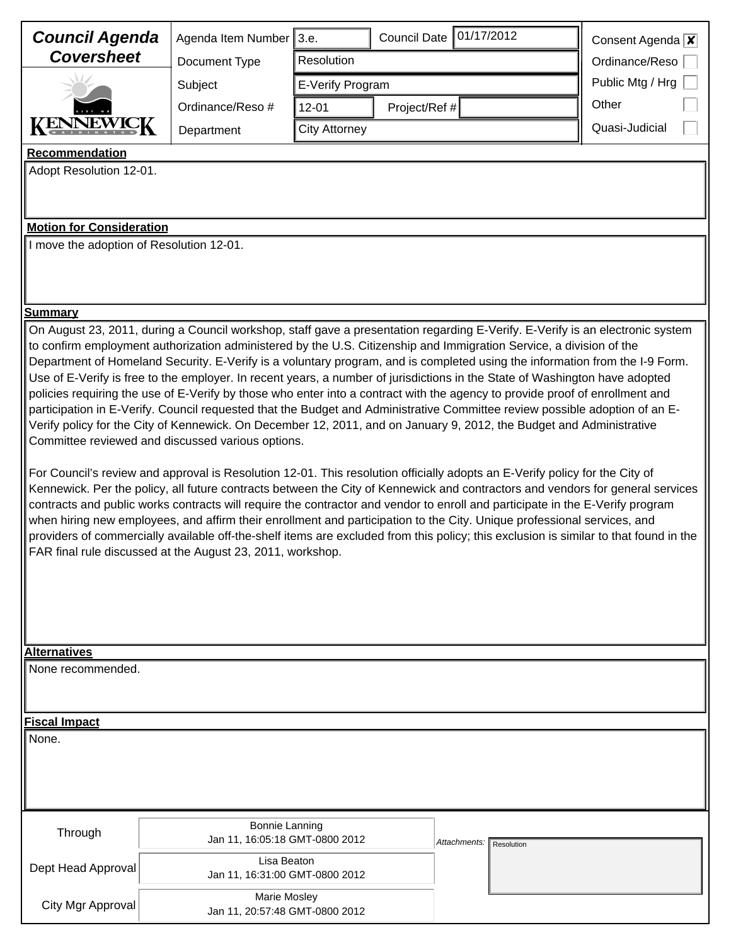| <b>Council Agenda</b>                                                                                                                                                                                                                                                                                                                                                                                                                                                                                                                                                                                                                                                                                                                                                                                                                                                                                                                                                                                                                                                                                                                                                                                                                                                                                                                                                                                                                                                                                                                                             | Agenda Item Number 3.e.                                 |                            | Council Date 01/17/2012    | Consent Agenda $x$ |
|-------------------------------------------------------------------------------------------------------------------------------------------------------------------------------------------------------------------------------------------------------------------------------------------------------------------------------------------------------------------------------------------------------------------------------------------------------------------------------------------------------------------------------------------------------------------------------------------------------------------------------------------------------------------------------------------------------------------------------------------------------------------------------------------------------------------------------------------------------------------------------------------------------------------------------------------------------------------------------------------------------------------------------------------------------------------------------------------------------------------------------------------------------------------------------------------------------------------------------------------------------------------------------------------------------------------------------------------------------------------------------------------------------------------------------------------------------------------------------------------------------------------------------------------------------------------|---------------------------------------------------------|----------------------------|----------------------------|--------------------|
| <b>Coversheet</b>                                                                                                                                                                                                                                                                                                                                                                                                                                                                                                                                                                                                                                                                                                                                                                                                                                                                                                                                                                                                                                                                                                                                                                                                                                                                                                                                                                                                                                                                                                                                                 | Resolution<br>Document Type                             |                            |                            | Ordinance/Reso     |
|                                                                                                                                                                                                                                                                                                                                                                                                                                                                                                                                                                                                                                                                                                                                                                                                                                                                                                                                                                                                                                                                                                                                                                                                                                                                                                                                                                                                                                                                                                                                                                   | Subject                                                 | E-Verify Program           |                            | Public Mtg / Hrg   |
|                                                                                                                                                                                                                                                                                                                                                                                                                                                                                                                                                                                                                                                                                                                                                                                                                                                                                                                                                                                                                                                                                                                                                                                                                                                                                                                                                                                                                                                                                                                                                                   | Ordinance/Reso #                                        | Project/Ref #<br>$12 - 01$ |                            | Other              |
|                                                                                                                                                                                                                                                                                                                                                                                                                                                                                                                                                                                                                                                                                                                                                                                                                                                                                                                                                                                                                                                                                                                                                                                                                                                                                                                                                                                                                                                                                                                                                                   | Department                                              | <b>City Attorney</b>       |                            | Quasi-Judicial     |
| <b>Recommendation</b>                                                                                                                                                                                                                                                                                                                                                                                                                                                                                                                                                                                                                                                                                                                                                                                                                                                                                                                                                                                                                                                                                                                                                                                                                                                                                                                                                                                                                                                                                                                                             |                                                         |                            |                            |                    |
| Adopt Resolution 12-01.                                                                                                                                                                                                                                                                                                                                                                                                                                                                                                                                                                                                                                                                                                                                                                                                                                                                                                                                                                                                                                                                                                                                                                                                                                                                                                                                                                                                                                                                                                                                           |                                                         |                            |                            |                    |
|                                                                                                                                                                                                                                                                                                                                                                                                                                                                                                                                                                                                                                                                                                                                                                                                                                                                                                                                                                                                                                                                                                                                                                                                                                                                                                                                                                                                                                                                                                                                                                   |                                                         |                            |                            |                    |
| <b>Motion for Consideration</b>                                                                                                                                                                                                                                                                                                                                                                                                                                                                                                                                                                                                                                                                                                                                                                                                                                                                                                                                                                                                                                                                                                                                                                                                                                                                                                                                                                                                                                                                                                                                   |                                                         |                            |                            |                    |
| I move the adoption of Resolution 12-01.                                                                                                                                                                                                                                                                                                                                                                                                                                                                                                                                                                                                                                                                                                                                                                                                                                                                                                                                                                                                                                                                                                                                                                                                                                                                                                                                                                                                                                                                                                                          |                                                         |                            |                            |                    |
| <u>Summarv</u>                                                                                                                                                                                                                                                                                                                                                                                                                                                                                                                                                                                                                                                                                                                                                                                                                                                                                                                                                                                                                                                                                                                                                                                                                                                                                                                                                                                                                                                                                                                                                    |                                                         |                            |                            |                    |
| to confirm employment authorization administered by the U.S. Citizenship and Immigration Service, a division of the<br>Department of Homeland Security. E-Verify is a voluntary program, and is completed using the information from the I-9 Form.<br>Use of E-Verify is free to the employer. In recent years, a number of jurisdictions in the State of Washington have adopted<br>policies requiring the use of E-Verify by those who enter into a contract with the agency to provide proof of enrollment and<br>participation in E-Verify. Council requested that the Budget and Administrative Committee review possible adoption of an E-<br>Verify policy for the City of Kennewick. On December 12, 2011, and on January 9, 2012, the Budget and Administrative<br>Committee reviewed and discussed various options.<br>For Council's review and approval is Resolution 12-01. This resolution officially adopts an E-Verify policy for the City of<br>Kennewick. Per the policy, all future contracts between the City of Kennewick and contractors and vendors for general services<br>contracts and public works contracts will require the contractor and vendor to enroll and participate in the E-Verify program<br>when hiring new employees, and affirm their enrollment and participation to the City. Unique professional services, and<br>providers of commercially available off-the-shelf items are excluded from this policy; this exclusion is similar to that found in the<br>FAR final rule discussed at the August 23, 2011, workshop. |                                                         |                            |                            |                    |
| <b>Alternatives</b>                                                                                                                                                                                                                                                                                                                                                                                                                                                                                                                                                                                                                                                                                                                                                                                                                                                                                                                                                                                                                                                                                                                                                                                                                                                                                                                                                                                                                                                                                                                                               |                                                         |                            |                            |                    |
| None recommended.                                                                                                                                                                                                                                                                                                                                                                                                                                                                                                                                                                                                                                                                                                                                                                                                                                                                                                                                                                                                                                                                                                                                                                                                                                                                                                                                                                                                                                                                                                                                                 |                                                         |                            |                            |                    |
| <b>Fiscal Impact</b>                                                                                                                                                                                                                                                                                                                                                                                                                                                                                                                                                                                                                                                                                                                                                                                                                                                                                                                                                                                                                                                                                                                                                                                                                                                                                                                                                                                                                                                                                                                                              |                                                         |                            |                            |                    |
| None.                                                                                                                                                                                                                                                                                                                                                                                                                                                                                                                                                                                                                                                                                                                                                                                                                                                                                                                                                                                                                                                                                                                                                                                                                                                                                                                                                                                                                                                                                                                                                             |                                                         |                            |                            |                    |
| Through                                                                                                                                                                                                                                                                                                                                                                                                                                                                                                                                                                                                                                                                                                                                                                                                                                                                                                                                                                                                                                                                                                                                                                                                                                                                                                                                                                                                                                                                                                                                                           | <b>Bonnie Lanning</b><br>Jan 11, 16:05:18 GMT-0800 2012 |                            | Attachments:<br>Resolution |                    |
| Dept Head Approval                                                                                                                                                                                                                                                                                                                                                                                                                                                                                                                                                                                                                                                                                                                                                                                                                                                                                                                                                                                                                                                                                                                                                                                                                                                                                                                                                                                                                                                                                                                                                | Lisa Beaton<br>Jan 11, 16:31:00 GMT-0800 2012           |                            |                            |                    |
| City Mgr Approval                                                                                                                                                                                                                                                                                                                                                                                                                                                                                                                                                                                                                                                                                                                                                                                                                                                                                                                                                                                                                                                                                                                                                                                                                                                                                                                                                                                                                                                                                                                                                 | Marie Mosley<br>Jan 11, 20:57:48 GMT-0800 2012          |                            |                            |                    |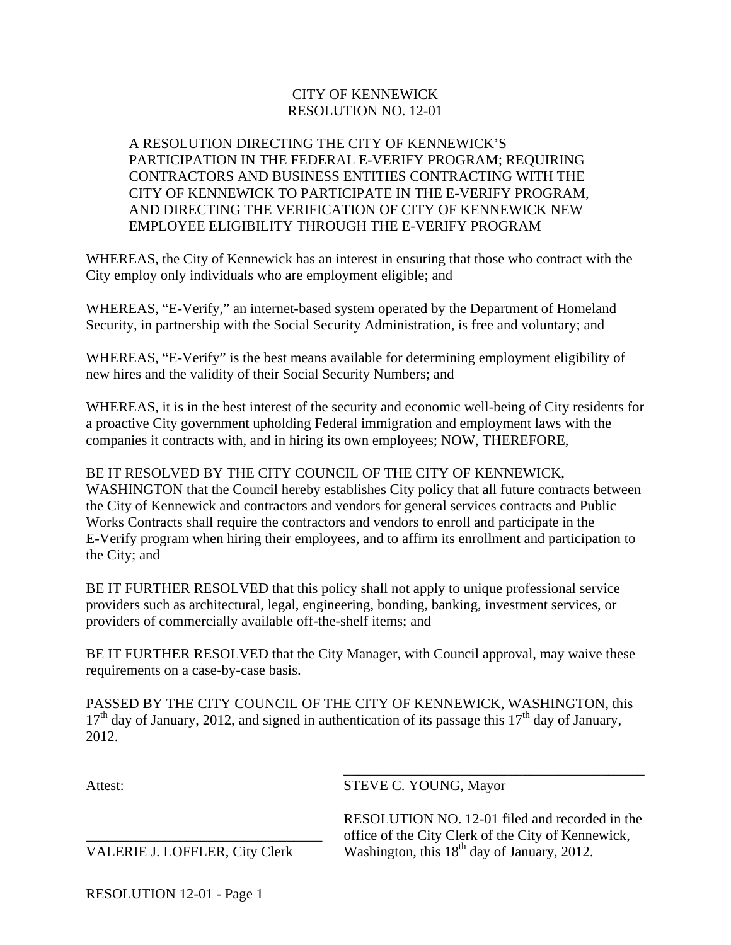## CITY OF KENNEWICK RESOLUTION NO. 12-01

## A RESOLUTION DIRECTING THE CITY OF KENNEWICK'S PARTICIPATION IN THE FEDERAL E-VERIFY PROGRAM; REQUIRING CONTRACTORS AND BUSINESS ENTITIES CONTRACTING WITH THE CITY OF KENNEWICK TO PARTICIPATE IN THE E-VERIFY PROGRAM, AND DIRECTING THE VERIFICATION OF CITY OF KENNEWICK NEW EMPLOYEE ELIGIBILITY THROUGH THE E-VERIFY PROGRAM

WHEREAS, the City of Kennewick has an interest in ensuring that those who contract with the City employ only individuals who are employment eligible; and

WHEREAS, "E-Verify," an internet-based system operated by the Department of Homeland Security, in partnership with the Social Security Administration, is free and voluntary; and

WHEREAS, "E-Verify" is the best means available for determining employment eligibility of new hires and the validity of their Social Security Numbers; and

WHEREAS, it is in the best interest of the security and economic well-being of City residents for a proactive City government upholding Federal immigration and employment laws with the companies it contracts with, and in hiring its own employees; NOW, THEREFORE,

BE IT RESOLVED BY THE CITY COUNCIL OF THE CITY OF KENNEWICK, WASHINGTON that the Council hereby establishes City policy that all future contracts between the City of Kennewick and contractors and vendors for general services contracts and Public Works Contracts shall require the contractors and vendors to enroll and participate in the E-Verify program when hiring their employees, and to affirm its enrollment and participation to the City; and

BE IT FURTHER RESOLVED that this policy shall not apply to unique professional service providers such as architectural, legal, engineering, bonding, banking, investment services, or providers of commercially available off-the-shelf items; and

BE IT FURTHER RESOLVED that the City Manager, with Council approval, may waive these requirements on a case-by-case basis.

PASSED BY THE CITY COUNCIL OF THE CITY OF KENNEWICK, WASHINGTON, this  $17<sup>th</sup>$  day of January, 2012, and signed in authentication of its passage this  $17<sup>th</sup>$  day of January, 2012.

 $\overline{\phantom{a}}$  , which is a set of the set of the set of the set of the set of the set of the set of the set of the set of the set of the set of the set of the set of the set of the set of the set of the set of the set of th

Attest: STEVE C. YOUNG, Mayor

 RESOLUTION NO. 12-01 filed and recorded in the office of the City Clerk of the City of Kennewick, VALERIE J. LOFFLER, City Clerk Washington, this 18<sup>th</sup> day of January, 2012.

RESOLUTION 12-01 - Page 1